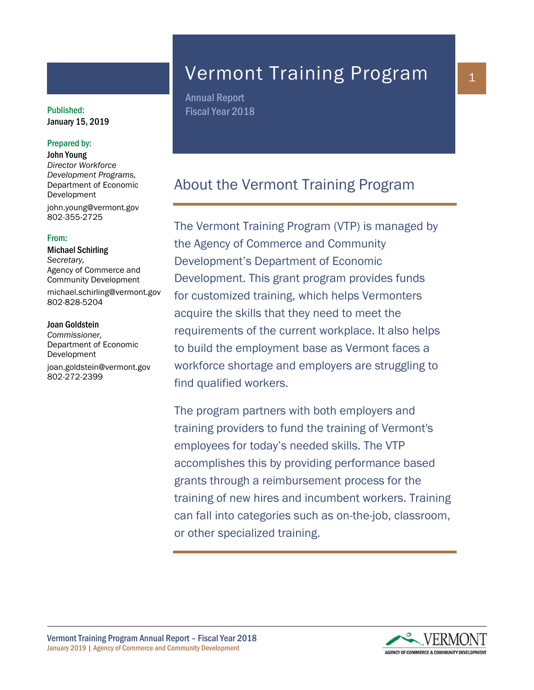# January 15, 2019

#### Prepared by:

John Young *Director Workforce Development Programs,* Department of Economic Development john.young@vermont.gov 802-355-2725

#### From:

Michael Schirling *Secretary,*  Agency of Commerce and Community Development michael.schirling@vermont.gov 802-828-5204

#### Joan Goldstein

*Commissioner,* Department of Economic Development joan.goldstein@vermont.gov 802-272-2399

# Vermont Training Program

Annual Report Published: Fiscal Year 2018

# About the Vermont Training Program

The Vermont Training Program (VTP) is managed by the Agency of Commerce and Community Development's Department of Economic Development. This grant program provides funds for customized training, which helps Vermonters acquire the skills that they need to meet the requirements of the current workplace. It also helps to build the employment base as Vermont faces a workforce shortage and employers are struggling to find qualified workers.

The program partners with both employers and training providers to fund the training of Vermont's employees for today's needed skills. The VTP accomplishes this by providing performance based grants through a reimbursement process for the training of new hires and incumbent workers. Training can fall into categories such as on-the-job, classroom, or other specialized training.



1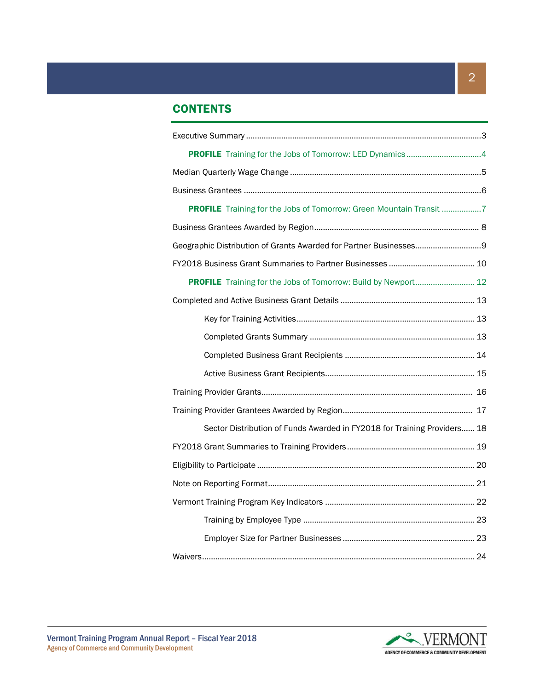# **CONTENTS**

| PROFILE Training for the Jobs of Tomorrow: Green Mountain Transit 7      |  |
|--------------------------------------------------------------------------|--|
|                                                                          |  |
|                                                                          |  |
|                                                                          |  |
| PROFILE Training for the Jobs of Tomorrow: Build by Newport 12           |  |
|                                                                          |  |
|                                                                          |  |
|                                                                          |  |
|                                                                          |  |
|                                                                          |  |
|                                                                          |  |
|                                                                          |  |
| Sector Distribution of Funds Awarded in FY2018 for Training Providers 18 |  |
|                                                                          |  |
|                                                                          |  |
|                                                                          |  |
|                                                                          |  |
|                                                                          |  |
|                                                                          |  |
|                                                                          |  |

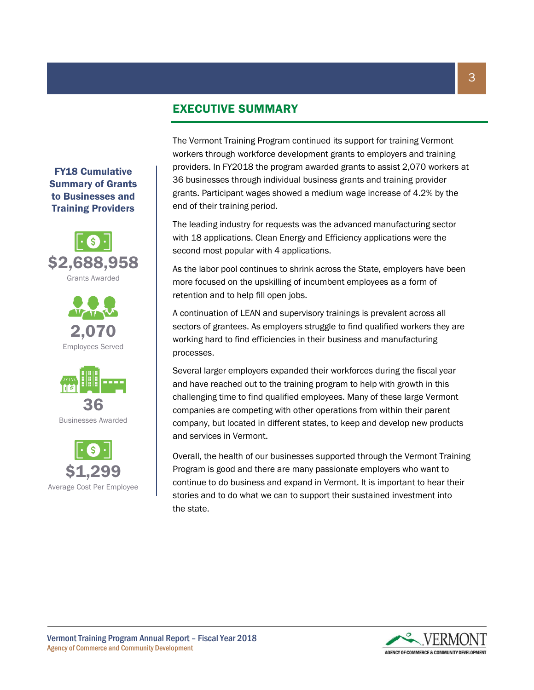# EXECUTIVE SUMMARY

workers through workforce development grants to employers and training providers. In FY2018 the program awarded grants to assist 2,070 workers at 36 businesses through individual business grants and training provider grants. Participant wages showed a medium wage increase of 4.2% by the end of their training period.

> The leading industry for requests was the advanced manufacturing sector with 18 applications. Clean Energy and Efficiency applications were the second most popular with 4 applications.

> The Vermont Training Program continued its support for training Vermont

As the labor pool continues to shrink across the State, employers have been more focused on the upskilling of incumbent employees as a form of retention and to help fill open jobs.

A continuation of LEAN and supervisory trainings is prevalent across all sectors of grantees. As employers struggle to find qualified workers they are working hard to find efficiencies in their business and manufacturing processes.

Several larger employers expanded their workforces during the fiscal year and have reached out to the training program to help with growth in this challenging time to find qualified employees. Many of these large Vermont companies are competing with other operations from within their parent company, but located in different states, to keep and develop new products and services in Vermont.

Overall, the health of our businesses supported through the Vermont Training Program is good and there are many passionate employers who want to continue to do business and expand in Vermont. It is important to hear their stories and to do what we can to support their sustained investment into the state.



FY18 Cumulative Summary of Grants to Businesses and Training Providers







Businesses Awarded



Vermont Training Program Annual Report – Fiscal Year 2018 Agency of Commerce and Community Development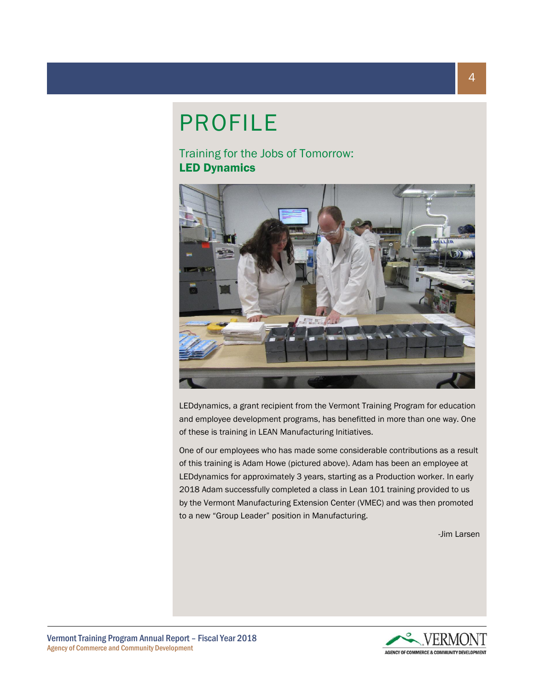# PROFILE

Training for the Jobs of Tomorrow: LED Dynamics



LEDdynamics, a grant recipient from the Vermont Training Program for education and employee development programs, has benefitted in more than one way. One of these is training in LEAN Manufacturing Initiatives.

One of our employees who has made some considerable contributions as a result of this training is Adam Howe (pictured above). Adam has been an employee at LEDdynamics for approximately 3 years, starting as a Production worker. In early 2018 Adam successfully completed a class in Lean 101 training provided to us by the Vermont Manufacturing Extension Center (VMEC) and was then promoted to a new "Group Leader" position in Manufacturing.

-Jim Larsen

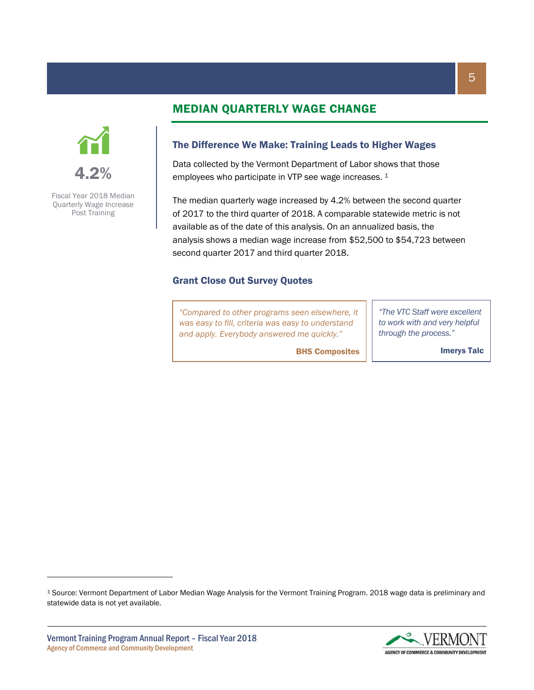# 4.2%

Fiscal Year 2018 Median Quarterly Wage Increase Post Training

# MEDIAN QUARTERLY WAGE CHANGE

#### The Difference We Make: Training Leads to Higher Wages

Data collected by the Vermont Department of Labor shows that those employees who participate in VTP see wage increases. <sup>1</sup>

The median quarterly wage increased by 4.2% between the second quarter of 2017 to the third quarter of 2018. A comparable statewide metric is not available as of the date of this analysis. On an annualized basis, the analysis shows a median wage increase from \$52,500 to \$54,723 between second quarter 2017 and third quarter 2018.

BHS Composites

#### Grant Close Out Survey Quotes

*"Compared to other programs seen elsewhere, it was easy to fill, criteria was easy to understand and apply. Everybody answered me quickly."*

*"The VTC Staff were excellent to work with and very helpful through the process."*

Imerys Talc

<sup>1</sup> Source: Vermont Department of Labor Median Wage Analysis for the Vermont Training Program. 2018 wage data is preliminary and statewide data is not yet available.

 $\overline{\phantom{a}}$ 

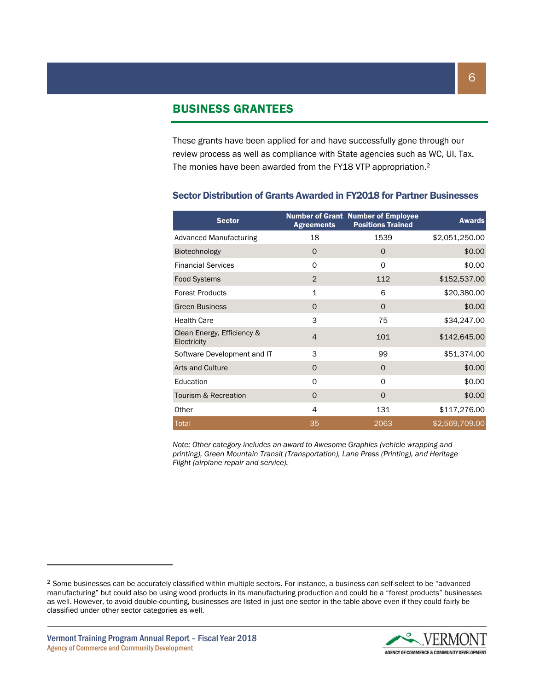#### BUSINESS GRANTEES

These grants have been applied for and have successfully gone through our review process as well as compliance with State agencies such as WC, UI, Tax. The monies have been awarded from the FY18 VTP appropriation.<sup>2</sup>

| <b>Sector</b>                             | <b>Agreements</b> | <b>Number of Grant Number of Employee</b><br><b>Positions Trained</b> | <b>Awards</b>  |
|-------------------------------------------|-------------------|-----------------------------------------------------------------------|----------------|
| <b>Advanced Manufacturing</b>             | 18                | 1539                                                                  | \$2,051,250.00 |
| Biotechnology                             | O                 | 0                                                                     | \$0.00         |
| <b>Financial Services</b>                 | O                 | $\mathbf 0$                                                           | \$0.00         |
| <b>Food Systems</b>                       | $\overline{2}$    | 112                                                                   | \$152,537.00   |
| <b>Forest Products</b>                    | $\mathbf{1}$      | 6                                                                     | \$20,380.00    |
| <b>Green Business</b>                     | $\Omega$          | $\Omega$                                                              | \$0.00         |
| <b>Health Care</b>                        | 3                 | 75                                                                    | \$34,247.00    |
| Clean Energy, Efficiency &<br>Electricity | $\overline{4}$    | 101                                                                   | \$142,645.00   |
| Software Development and IT               | 3                 | 99                                                                    | \$51,374.00    |
| Arts and Culture                          | $\Omega$          | $\Omega$                                                              | \$0.00         |
| Education                                 | $\Omega$          | $\Omega$                                                              | \$0.00         |
| Tourism & Recreation                      | $\Omega$          | $\Omega$                                                              | \$0.00         |
| Other                                     | 4                 | 131                                                                   | \$117,276.00   |
| Total                                     | 35                | 2063                                                                  | \$2,569,709.00 |

#### Sector Distribution of Grants Awarded in FY2018 for Partner Businesses

*Note: Other category includes an award to Awesome Graphics (vehicle wrapping and printing), Green Mountain Transit (Transportation), Lane Press (Printing), and Heritage Flight (airplane repair and service).*

 $\overline{\phantom{a}}$ 



<sup>2</sup> Some businesses can be accurately classified within multiple sectors. For instance, a business can self-select to be "advanced manufacturing" but could also be using wood products in its manufacturing production and could be a "forest products" businesses as well. However, to avoid double-counting, businesses are listed in just one sector in the table above even if they could fairly be classified under other sector categories as well.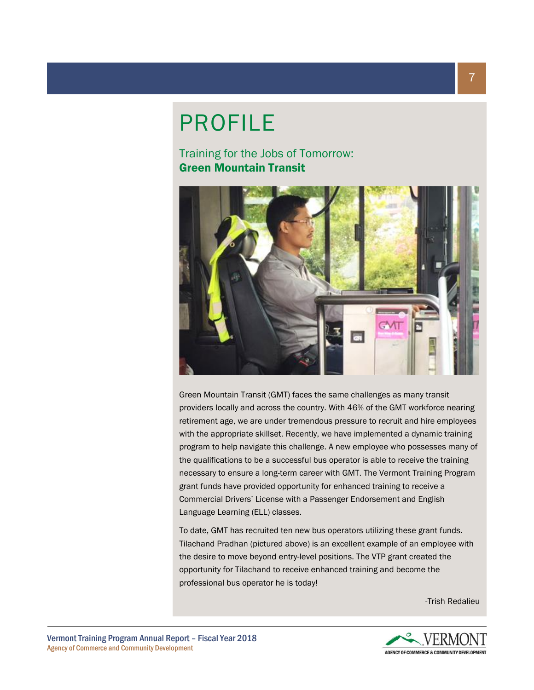# PROFILE

Training for the Jobs of Tomorrow: Green Mountain Transit



Green Mountain Transit (GMT) faces the same challenges as many transit providers locally and across the country. With 46% of the GMT workforce nearing retirement age, we are under tremendous pressure to recruit and hire employees with the appropriate skillset. Recently, we have implemented a dynamic training program to help navigate this challenge. A new employee who possesses many of the qualifications to be a successful bus operator is able to receive the training necessary to ensure a long-term career with GMT. The Vermont Training Program grant funds have provided opportunity for enhanced training to receive a Commercial Drivers' License with a Passenger Endorsement and English Language Learning (ELL) classes.

To date, GMT has recruited ten new bus operators utilizing these grant funds. Tilachand Pradhan (pictured above) is an excellent example of an employee with the desire to move beyond entry-level positions. The VTP grant created the opportunity for Tilachand to receive enhanced training and become the professional bus operator he is today!

-Trish Redalieu

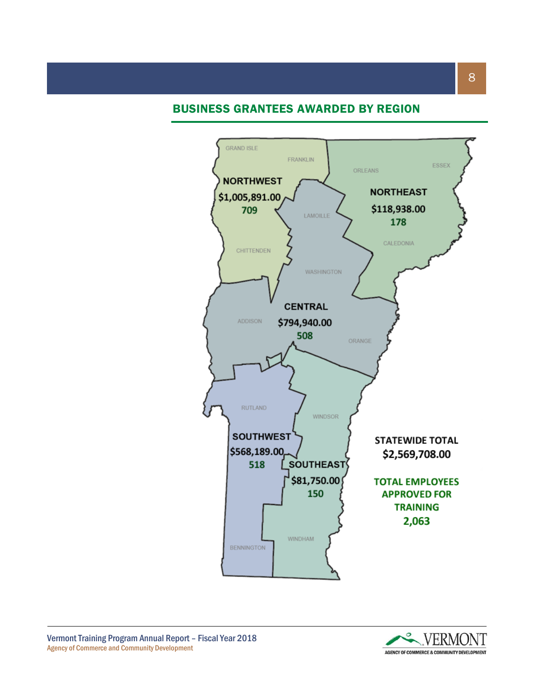## BUSINESS GRANTEES AWARDED BY REGION



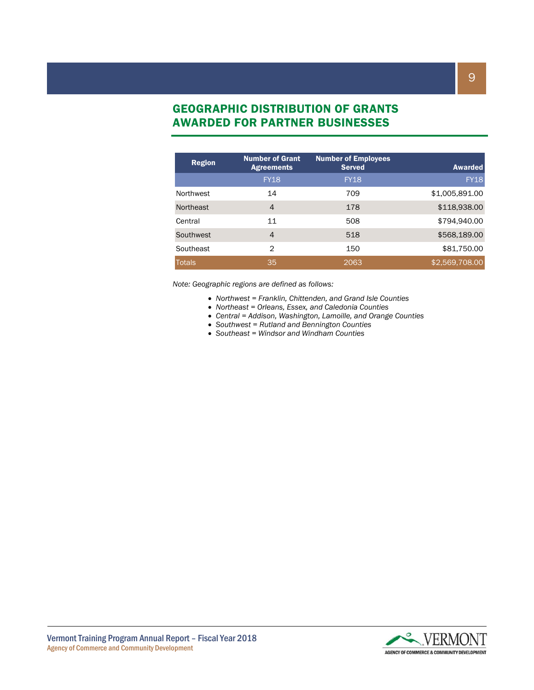# GEOGRAPHIC DISTRIBUTION OF GRANTS AWARDED FOR PARTNER BUSINESSES

| <b>Region</b> | <b>Number of Grant</b><br><b>Agreements</b> | <b>Number of Employees</b><br><b>Served</b> | <b>Awarded</b> |
|---------------|---------------------------------------------|---------------------------------------------|----------------|
|               | <b>FY18</b>                                 | <b>FY18</b>                                 | <b>FY18</b>    |
| Northwest     | 14                                          | 709                                         | \$1,005,891.00 |
| Northeast     | 4                                           | 178                                         | \$118,938.00   |
| Central       | 11                                          | 508                                         | \$794,940.00   |
| Southwest     | 4                                           | 518                                         | \$568,189.00   |
| Southeast     | 2                                           | 150                                         | \$81,750.00    |
| <b>Totals</b> | 35                                          | 2063                                        | \$2,569,708.00 |

*Note: Geographic regions are defined as follows:*

- *Northwest = Franklin, Chittenden, and Grand Isle Counties*
- *Northeast = Orleans, Essex, and Caledonia Counties*
- *Central = Addison, Washington, Lamoille, and Orange Counties*
- *Southwest = Rutland and Bennington Counties*
- *Southeast = Windsor and Windham Counties*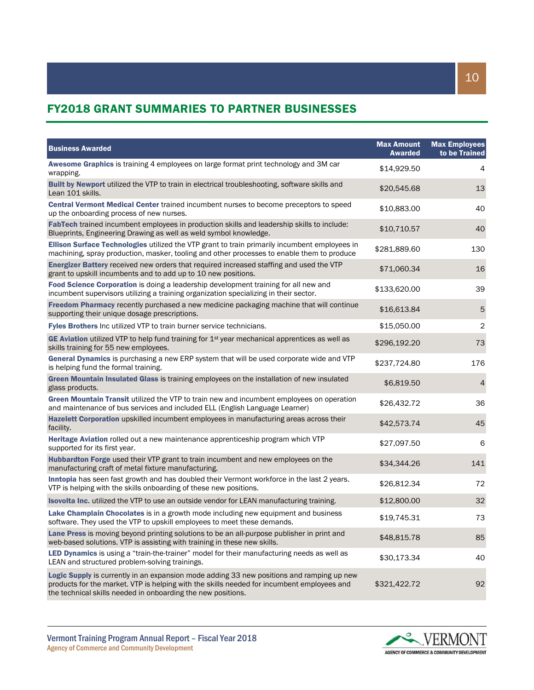# FY2018 GRANT SUMMARIES TO PARTNER BUSINESSES

| <b>Business Awarded</b>                                                                                                                                                                                                                                 | <b>Max Amount</b><br><b>Awarded</b> | <b>Max Employees</b><br>to be Trained |
|---------------------------------------------------------------------------------------------------------------------------------------------------------------------------------------------------------------------------------------------------------|-------------------------------------|---------------------------------------|
| Awesome Graphics is training 4 employees on large format print technology and 3M car<br>wrapping.                                                                                                                                                       | \$14,929.50                         | 4                                     |
| Built by Newport utilized the VTP to train in electrical troubleshooting, software skills and<br>Lean 101 skills.                                                                                                                                       | \$20,545.68                         | 13                                    |
| Central Vermont Medical Center trained incumbent nurses to become preceptors to speed<br>up the onboarding process of new nurses.                                                                                                                       | \$10,883.00                         | 40                                    |
| FabTech trained incumbent employees in production skills and leadership skills to include:<br>Blueprints, Engineering Drawing as well as weld symbol knowledge.                                                                                         | \$10,710.57                         | 40                                    |
| Ellison Surface Technologies utilized the VTP grant to train primarily incumbent employees in<br>machining, spray production, masker, tooling and other processes to enable them to produce                                                             | \$281,889.60                        | 130                                   |
| Energizer Battery received new orders that required increased staffing and used the VTP<br>grant to upskill incumbents and to add up to 10 new positions.                                                                                               | \$71,060.34                         | 16                                    |
| Food Science Corporation is doing a leadership development training for all new and<br>incumbent supervisors utilizing a training organization specializing in their sector.                                                                            | \$133,620.00                        | 39                                    |
| Freedom Pharmacy recently purchased a new medicine packaging machine that will continue<br>supporting their unique dosage prescriptions.                                                                                                                | \$16,613.84                         | $\overline{5}$                        |
| Fyles Brothers Inc utilized VTP to train burner service technicians.                                                                                                                                                                                    | \$15,050.00                         | $\sqrt{2}$                            |
| GE Aviation utilized VTP to help fund training for $1st$ year mechanical apprentices as well as<br>skills training for 55 new employees.                                                                                                                | \$296,192.20                        | 73                                    |
| General Dynamics is purchasing a new ERP system that will be used corporate wide and VTP<br>is helping fund the formal training.                                                                                                                        | \$237,724.80                        | 176                                   |
| Green Mountain Insulated Glass is training employees on the installation of new insulated<br>glass products.                                                                                                                                            | \$6,819.50                          | $\overline{4}$                        |
| Green Mountain Transit utilized the VTP to train new and incumbent employees on operation<br>and maintenance of bus services and included ELL (English Language Learner)                                                                                | \$26,432.72                         | 36                                    |
| Hazelett Corporation upskilled incumbent employees in manufacturing areas across their<br>facility.                                                                                                                                                     | \$42,573.74                         | 45                                    |
| Heritage Aviation rolled out a new maintenance apprenticeship program which VTP<br>supported for its first year.                                                                                                                                        | \$27,097.50                         | 6                                     |
| Hubbardton Forge used their VTP grant to train incumbent and new employees on the<br>manufacturing craft of metal fixture manufacturing.                                                                                                                | \$34,344.26                         | 141                                   |
| Inntopia has seen fast growth and has doubled their Vermont workforce in the last 2 years.<br>VTP is helping with the skills onboarding of these new positions.                                                                                         | \$26,812.34                         | 72                                    |
| Isovolta Inc. utilized the VTP to use an outside vendor for LEAN manufacturing training.                                                                                                                                                                | \$12,800.00                         | 32                                    |
| Lake Champlain Chocolates is in a growth mode including new equipment and business<br>software. They used the VTP to upskill employees to meet these demands.                                                                                           | \$19,745.31                         | 73                                    |
| Lane Press is moving beyond printing solutions to be an all-purpose publisher in print and<br>web-based solutions. VTP is assisting with training in these new skills.                                                                                  | \$48,815.78                         | 85                                    |
| LED Dynamics is using a "train-the-trainer" model for their manufacturing needs as well as<br>LEAN and structured problem-solving trainings.                                                                                                            | \$30,173.34                         | 40                                    |
| Logic Supply is currently in an expansion mode adding 33 new positions and ramping up new<br>products for the market. VTP is helping with the skills needed for incumbent employees and<br>the technical skills needed in onboarding the new positions. | \$321,422.72                        | 92                                    |

10

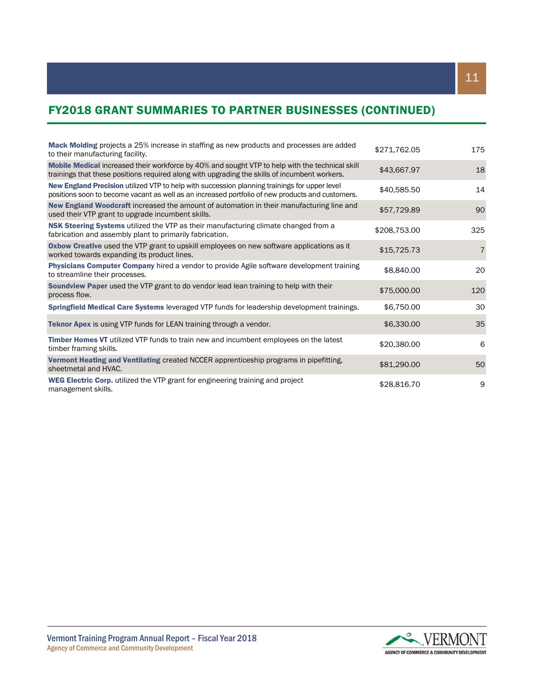# FY2018 GRANT SUMMARIES TO PARTNER BUSINESSES (CONTINUED)

| Mack Molding projects a 25% increase in staffing as new products and processes are added<br>to their manufacturing facility.                                                                      | \$271,762.05 | 175            |
|---------------------------------------------------------------------------------------------------------------------------------------------------------------------------------------------------|--------------|----------------|
| Mobile Medical increased their workforce by 40% and sought VTP to help with the technical skill<br>trainings that these positions required along with upgrading the skills of incumbent workers.  | \$43,667.97  | 18             |
| New England Precision utilized VTP to help with succession planning trainings for upper level<br>positions soon to become vacant as well as an increased portfolio of new products and customers. | \$40,585.50  | 14             |
| New England Woodcraft increased the amount of automation in their manufacturing line and<br>used their VTP grant to upgrade incumbent skills.                                                     | \$57,729.89  | 90             |
| NSK Steering Systems utilized the VTP as their manufacturing climate changed from a<br>fabrication and assembly plant to primarily fabrication.                                                   | \$208,753.00 | 325            |
| Oxbow Creative used the VTP grant to upskill employees on new software applications as it<br>worked towards expanding its product lines.                                                          | \$15,725.73  | $\overline{7}$ |
| <b>Physicians Computer Company</b> hired a vendor to provide Agile software development training<br>to streamline their processes.                                                                | \$8,840.00   | 20             |
| Soundview Paper used the VTP grant to do vendor lead lean training to help with their<br>process flow.                                                                                            | \$75,000.00  | 120            |
| Springfield Medical Care Systems leveraged VTP funds for leadership development trainings.                                                                                                        | \$6,750.00   | 30             |
| <b>Teknor Apex</b> is using VTP funds for LEAN training through a vendor.                                                                                                                         | \$6,330.00   | 35             |
| Timber Homes VT utilized VTP funds to train new and incumbent employees on the latest<br>timber framing skills.                                                                                   | \$20,380.00  | 6              |
| Vermont Heating and Ventilating created NCCER apprenticeship programs in pipefitting,<br>sheetmetal and HVAC.                                                                                     | \$81,290.00  | 50             |
| <b>WEG Electric Corp.</b> utilized the VTP grant for engineering training and project<br>management skills.                                                                                       | \$28,816.70  | 9              |

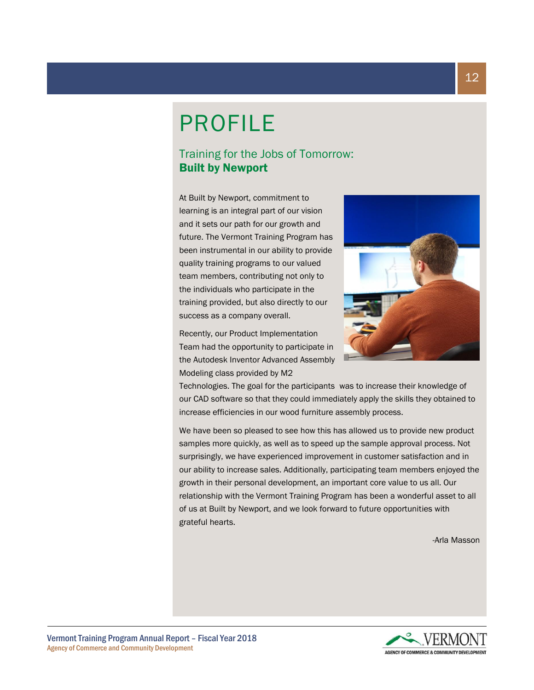# PROFILE

# Training for the Jobs of Tomorrow: Built by Newport

At Built by Newport, commitment to learning is an integral part of our vision and it sets our path for our growth and future. The Vermont Training Program has been instrumental in our ability to provide quality training programs to our valued team members, contributing not only to the individuals who participate in the training provided, but also directly to our success as a company overall.

Recently, our Product Implementation Team had the opportunity to participate in the Autodesk Inventor Advanced Assembly Modeling class provided by M2

Technologies. The goal for the participants was to increase their knowledge of our CAD software so that they could immediately apply the skills they obtained to increase efficiencies in our wood furniture assembly process.

We have been so pleased to see how this has allowed us to provide new product samples more quickly, as well as to speed up the sample approval process. Not surprisingly, we have experienced improvement in customer satisfaction and in our ability to increase sales. Additionally, participating team members enjoyed the growth in their personal development, an important core value to us all. Our relationship with the Vermont Training Program has been a wonderful asset to all of us at Built by Newport, and we look forward to future opportunities with grateful hearts.

-Arla Masson

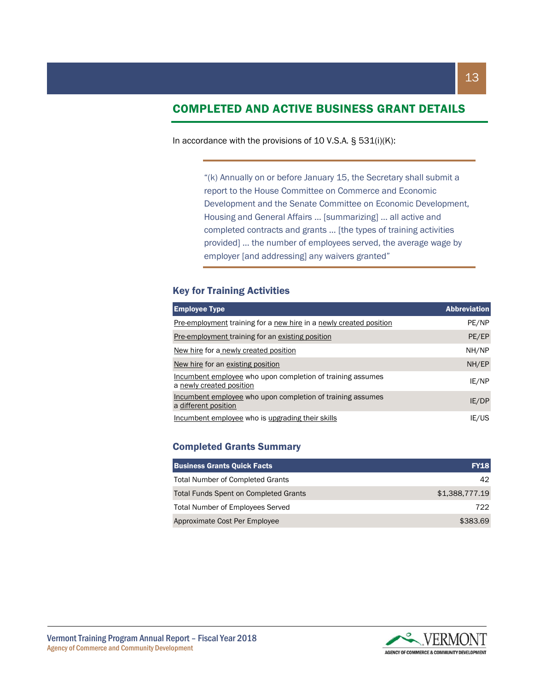# COMPLETED AND ACTIVE BUSINESS GRANT DETAILS

#### In accordance with the provisions of 10 V.S.A.  $\S$  531(i)(K):

"(k) Annually on or before January 15, the Secretary shall submit a report to the House Committee on Commerce and Economic Development and the Senate Committee on Economic Development, Housing and General Affairs … [summarizing] … all active and completed contracts and grants … [the types of training activities provided] … the number of employees served, the average wage by employer [and addressing] any waivers granted"

#### Key for Training Activities

| <b>Employee Type</b>                                                                   | <b>Abbreviation</b> |
|----------------------------------------------------------------------------------------|---------------------|
| <b>Pre-employment training for a new hire in a newly created position</b>              | PE/NP               |
| Pre-employment training for an existing position                                       | PE/EP               |
| New hire for a newly created position                                                  | NH/NP               |
| New hire for an existing position                                                      | NH/EP               |
| Incumbent employee who upon completion of training assumes<br>a newly created position | IE/NP               |
| Incumbent employee who upon completion of training assumes<br>a different position     | IE/DP               |
| Incumbent employee who is upgrading their skills                                       | IE/US               |

#### Completed Grants Summary

| <b>Business Grants Quick Facts</b>           | <b>FY18</b>    |
|----------------------------------------------|----------------|
| <b>Total Number of Completed Grants</b>      | 42.            |
| <b>Total Funds Spent on Completed Grants</b> | \$1,388,777.19 |
| <b>Total Number of Employees Served</b>      | 722            |
| Approximate Cost Per Employee                | \$383.69       |

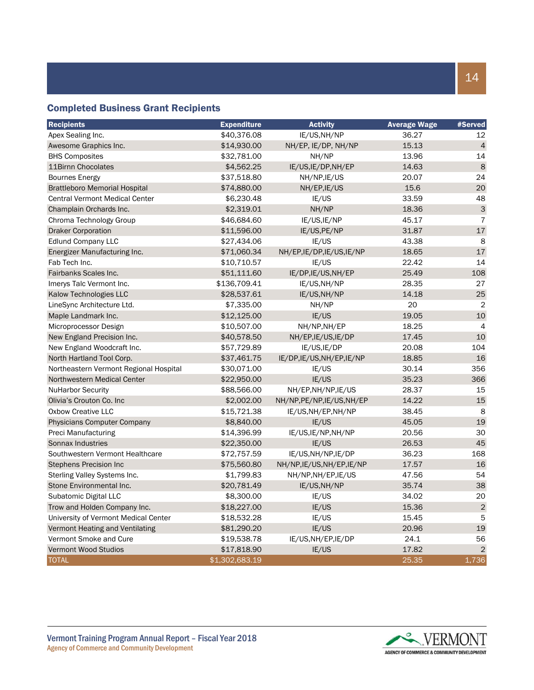### Completed Business Grant Recipients

| <b>Recipients</b>                      | <b>Expenditure</b> | <b>Activity</b>            | <b>Average Wage</b> | <b>#Served</b> |
|----------------------------------------|--------------------|----------------------------|---------------------|----------------|
| Apex Sealing Inc.                      | \$40,376.08        | IE/US, NH/NP               | 36.27               | 12             |
| Awesome Graphics Inc.                  | \$14,930.00        | NH/EP, IE/DP, NH/NP        | 15.13               | $\overline{4}$ |
| <b>BHS Composites</b>                  | \$32,781.00        | NH/NP                      | 13.96               | 14             |
| 11Birnn Chocolates                     | \$4,562.25         | IE/US, IE/DP, NH/EP        | 14.63               | 8              |
| <b>Bournes Energy</b>                  | \$37,518.80        | NH/NP, IE/US               | 20.07               | 24             |
| <b>Brattleboro Memorial Hospital</b>   | \$74,880.00        | NH/EP, IE/US               | 15.6                | 20             |
| <b>Central Vermont Medical Center</b>  | \$6,230.48         | IE/US                      | 33.59               | 48             |
| Champlain Orchards Inc.                | \$2,319.01         | NH/NP                      | 18.36               | 3              |
| Chroma Technology Group                | \$46,684.60        | IE/US, IE/NP               | 45.17               | $\overline{7}$ |
| <b>Draker Corporation</b>              | \$11,596.00        | IE/US, PE/NP               | 31.87               | 17             |
| <b>Edlund Company LLC</b>              | \$27,434.06        | IE/US                      | 43.38               | 8              |
| Energizer Manufacturing Inc.           | \$71,060.34        | NH/EP,IE/DP,IE/US,IE/NP    | 18.65               | 17             |
| Fab Tech Inc.                          | \$10,710.57        | IE/US                      | 22.42               | 14             |
| Fairbanks Scales Inc.                  | \$51,111.60        | IE/DP, IE/US, NH/EP        | 25.49               | 108            |
| Imerys Talc Vermont Inc.               | \$136,709.41       | IE/US, NH/NP               | 28.35               | 27             |
| Kalow Technologies LLC                 | \$28,537.61        | IE/US, NH/NP               | 14.18               | 25             |
| LineSync Architecture Ltd.             | \$7,335.00         | NH/NP                      | 20                  | $\overline{2}$ |
| Maple Landmark Inc.                    | \$12,125.00        | IE/US                      | 19.05               | 10             |
| Microprocessor Design                  | \$10,507.00        | NH/NP,NH/EP                | 18.25               | $\overline{4}$ |
| New England Precision Inc.             | \$40,578.50        | NH/EP, IE/US, IE/DP        | 17.45               | 10             |
| New England Woodcraft Inc.             | \$57,729.89        | IE/US, IE/DP               | 20.08               | 104            |
| North Hartland Tool Corp.              | \$37,461.75        | IE/DP,IE/US,NH/EP,IE/NP    | 18.85               | 16             |
| Northeastern Vermont Regional Hospital | \$30,071.00        | IE/US                      | 30.14               | 356            |
| Northwestern Medical Center            | \$22,950.00        | IE/US                      | 35.23               | 366            |
| <b>NuHarbor Security</b>               | \$88,566.00        | NH/EP, NH/NP, IE/US        | 28.37               | 15             |
| Olivia's Crouton Co. Inc.              | \$2,002.00         | NH/NP, PE/NP, IE/US, NH/EP | 14.22               | 15             |
| <b>Oxbow Creative LLC</b>              | \$15,721.38        | IE/US, NH/EP, NH/NP        | 38.45               | 8              |
| <b>Physicians Computer Company</b>     | \$8,840.00         | IE/US                      | 45.05               | 19             |
| Preci Manufacturing                    | \$14,396.99        | IE/US, IE/NP, NH/NP        | 20.56               | 30             |
| Sonnax Industries                      | \$22,350.00        | IE/US                      | 26.53               | 45             |
| Southwestern Vermont Healthcare        | \$72,757.59        | IE/US, NH/NP, IE/DP        | 36.23               | 168            |
| <b>Stephens Precision Inc</b>          | \$75,560.80        | NH/NP, IE/US, NH/EP, IE/NP | 17.57               | 16             |
| Sterling Valley Systems Inc.           | \$1,799.83         | NH/NP, NH/EP, IE/US        | 47.56               | 54             |
| Stone Environmental Inc.               | \$20,781.49        | IE/US, NH/NP               | 35.74               | 38             |
| Subatomic Digital LLC                  | \$8,300.00         | IE/US                      | 34.02               | 20             |
| Trow and Holden Company Inc.           | \$18,227.00        | IE/US                      | 15.36               | $\overline{2}$ |
| University of Vermont Medical Center   | \$18,532.28        | IE/US                      | 15.45               | 5              |
| Vermont Heating and Ventilating        | \$81,290.20        | IE/US                      | 20.96               | 19             |
| Vermont Smoke and Cure                 | \$19,538.78        | IE/US, NH/EP, IE/DP        | 24.1                | 56             |
| <b>Vermont Wood Studios</b>            | \$17,818.90        | IE/US                      | 17.82               | $\overline{2}$ |
| <b>TOTAL</b>                           | \$1,302,683.19     |                            | 25.35               | 1,736          |

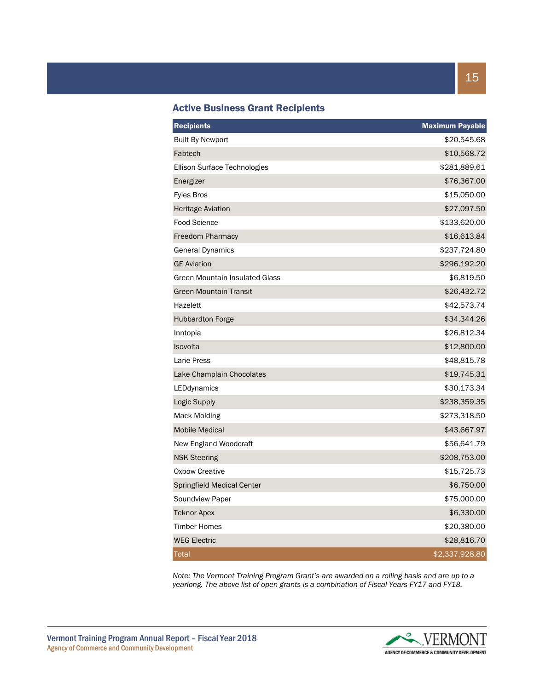| <b>Recipients</b>              | <b>Maximum Payable</b> |
|--------------------------------|------------------------|
| <b>Built By Newport</b>        | \$20,545.68            |
| Fabtech                        | \$10,568.72            |
| Ellison Surface Technologies   | \$281,889.61           |
| Energizer                      | \$76,367.00            |
| <b>Fyles Bros</b>              | \$15,050.00            |
| <b>Heritage Aviation</b>       | \$27,097.50            |
| <b>Food Science</b>            | \$133,620.00           |
| Freedom Pharmacy               | \$16,613.84            |
| <b>General Dynamics</b>        | \$237,724.80           |
| <b>GE Aviation</b>             | \$296,192.20           |
| Green Mountain Insulated Glass | \$6,819.50             |
| <b>Green Mountain Transit</b>  | \$26,432.72            |
| Hazelett                       | \$42,573.74            |
| <b>Hubbardton Forge</b>        | \$34,344.26            |
| Inntopia                       | \$26,812.34            |
| Isovolta                       | \$12,800.00            |
| Lane Press                     | \$48,815.78            |
| Lake Champlain Chocolates      | \$19,745.31            |
| LEDdynamics                    | \$30,173.34            |
| Logic Supply                   | \$238,359.35           |
| Mack Molding                   | \$273,318.50           |
| <b>Mobile Medical</b>          | \$43,667.97            |
| New England Woodcraft          | \$56,641.79            |
| <b>NSK Steering</b>            | \$208,753.00           |
| <b>Oxbow Creative</b>          | \$15,725.73            |
| Springfield Medical Center     | \$6,750.00             |
| Soundview Paper                | \$75,000.00            |
| <b>Teknor Apex</b>             | \$6,330.00             |
| <b>Timber Homes</b>            | \$20,380.00            |
| <b>WEG Electric</b>            | \$28,816.70            |
| <b>Total</b>                   | \$2,337,928.80         |

*Note: The Vermont Training Program Grant's are awarded on a rolling basis and are up to a yearlong. The above list of open grants is a combination of Fiscal Years FY17 and FY18.*

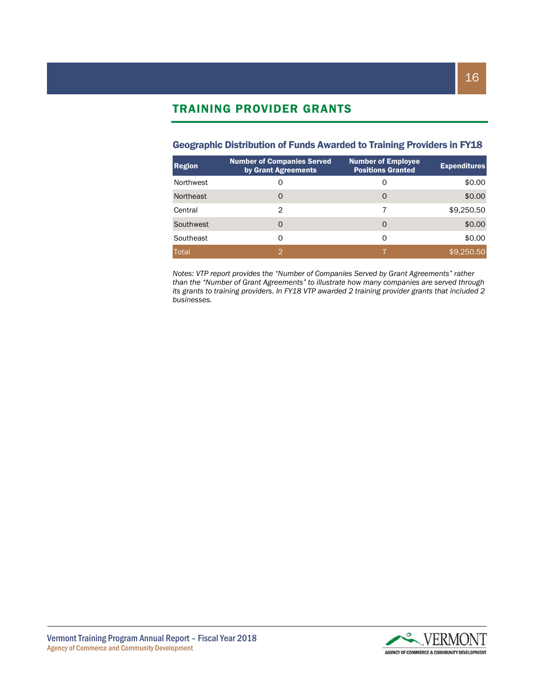# TRAINING PROVIDER GRANTS

#### Geographic Distribution of Funds Awarded to Training Providers in FY18

| <b>Region</b> | <b>Number of Companies Served</b><br>by Grant Agreements | Number of Employee<br><b>Positions Granted</b> | <b>Expenditures</b> |
|---------------|----------------------------------------------------------|------------------------------------------------|---------------------|
| Northwest     |                                                          | O                                              | \$0.00              |
| Northeast     | O                                                        | O                                              | \$0.00              |
| Central       | 2                                                        | 7                                              | \$9,250.50          |
| Southwest     | O                                                        | 0                                              | \$0.00              |
| Southeast     | ი                                                        | O                                              | \$0.00              |
| Total         | 0                                                        |                                                | \$9,250.50          |

*Notes: VTP report provides the "Number of Companies Served by Grant Agreements" rather than the "Number of Grant Agreements" to illustrate how many companies are served through its grants to training providers. In FY18 VTP awarded 2 training provider grants that included 2 businesses.*

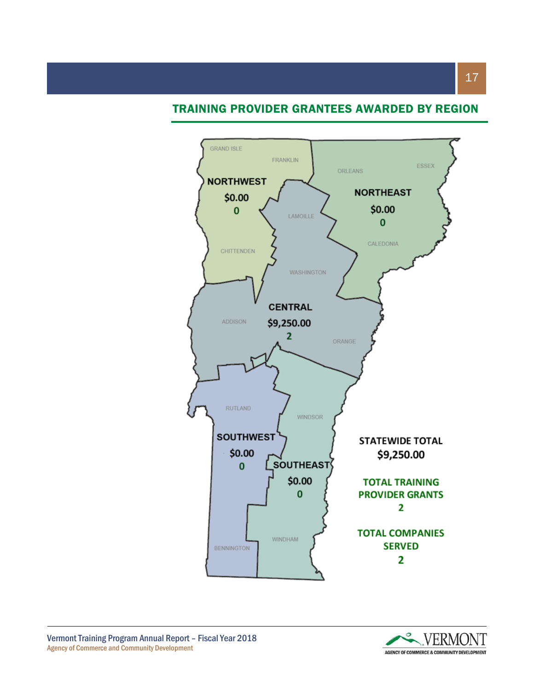## TRAINING PROVIDER GRANTEES AWARDED BY REGION





17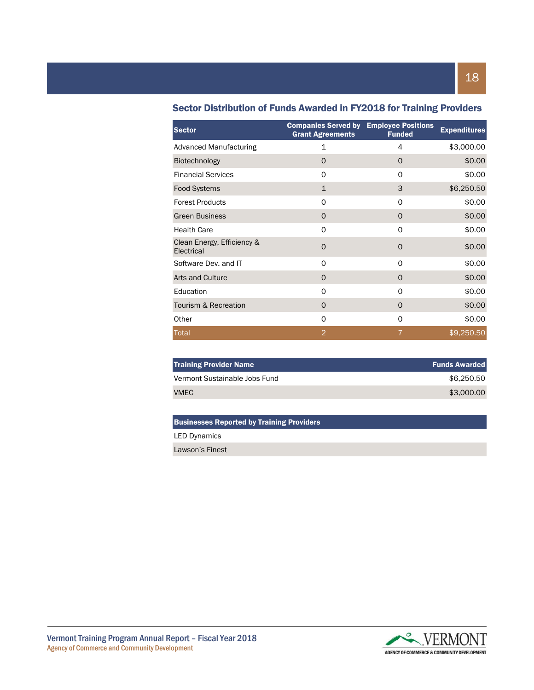| <b>Sector</b>                            | <b>Companies Served by</b><br><b>Grant Agreements</b> | <b>Employee Positions</b><br><b>Funded</b> | <b>Expenditures</b> |
|------------------------------------------|-------------------------------------------------------|--------------------------------------------|---------------------|
| <b>Advanced Manufacturing</b>            | 1                                                     | 4                                          | \$3,000.00          |
| <b>Biotechnology</b>                     | O                                                     | $\Omega$                                   | \$0.00              |
| <b>Financial Services</b>                | O                                                     | O                                          | \$0.00              |
| <b>Food Systems</b>                      | $\mathbf{1}$                                          | 3                                          | \$6,250.50          |
| <b>Forest Products</b>                   | 0                                                     | $\Omega$                                   | \$0.00              |
| <b>Green Business</b>                    | O                                                     | $\Omega$                                   | \$0.00              |
| <b>Health Care</b>                       | O                                                     | $\Omega$                                   | \$0.00              |
| Clean Energy, Efficiency &<br>Electrical | 0                                                     | $\mathbf 0$                                | \$0.00              |
| Software Dev. and IT                     | $\Omega$                                              | $\Omega$                                   | \$0.00              |
| Arts and Culture                         | $\Omega$                                              | $\Omega$                                   | \$0.00              |
| Education                                | 0                                                     | $\Omega$                                   | \$0.00              |
| Tourism & Recreation                     | $\Omega$                                              | $\Omega$                                   | \$0.00              |
| Other                                    | 0                                                     | O                                          | \$0.00              |
| <b>Total</b>                             | $\overline{2}$                                        | 7                                          | \$9,250.50          |

#### Sector Distribution of Funds Awarded in FY2018 for Training Providers

| <b>Training Provider Name</b> | <b>Funds Awarded</b> |
|-------------------------------|----------------------|
| Vermont Sustainable Jobs Fund | \$6.250.50           |
| VMEC                          | \$3,000,00           |

#### Businesses Reported by Training Providers

LED Dynamics

Lawson's Finest

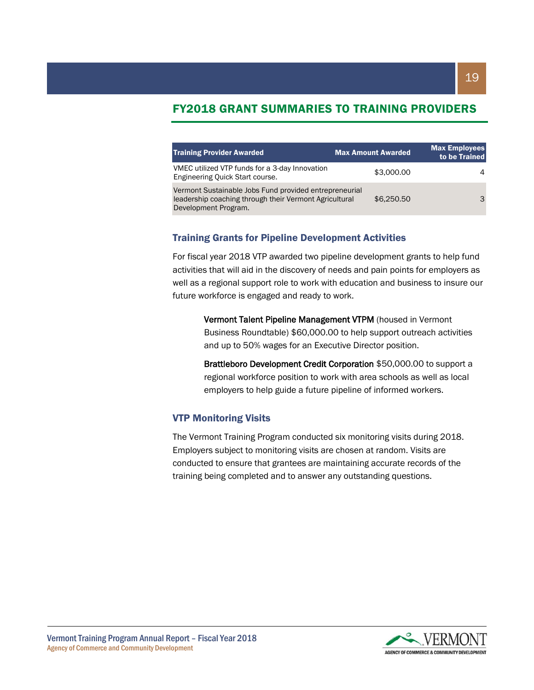## FY2018 GRANT SUMMARIES TO TRAINING PROVIDERS

| <b>Training Provider Awarded</b>                                                                                                         | <b>Max Amount Awarded</b> | <b>Max Employees</b><br>to be Trained |
|------------------------------------------------------------------------------------------------------------------------------------------|---------------------------|---------------------------------------|
| VMEC utilized VTP funds for a 3-day Innovation<br>Engineering Quick Start course.                                                        | \$3,000.00                | 4                                     |
| Vermont Sustainable Jobs Fund provided entrepreneurial<br>leadership coaching through their Vermont Agricultural<br>Development Program. | \$6,250.50                | 3                                     |

#### Training Grants for Pipeline Development Activities

For fiscal year 2018 VTP awarded two pipeline development grants to help fund activities that will aid in the discovery of needs and pain points for employers as well as a regional support role to work with education and business to insure our future workforce is engaged and ready to work.

Vermont Talent Pipeline Management VTPM (housed in Vermont Business Roundtable) \$60,000.00 to help support outreach activities and up to 50% wages for an Executive Director position.

Brattleboro Development Credit Corporation \$50,000.00 to support a regional workforce position to work with area schools as well as local employers to help guide a future pipeline of informed workers.

#### VTP Monitoring Visits

The Vermont Training Program conducted six monitoring visits during 2018. Employers subject to monitoring visits are chosen at random. Visits are conducted to ensure that grantees are maintaining accurate records of the training being completed and to answer any outstanding questions.

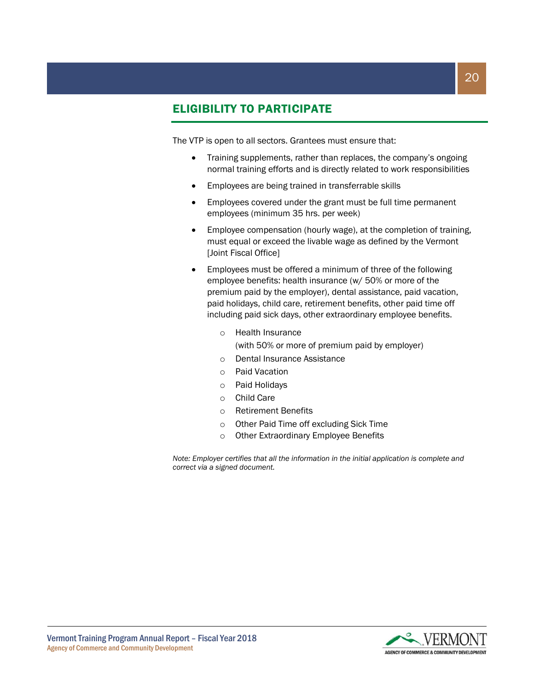# ELIGIBILITY TO PARTICIPATE

The VTP is open to all sectors. Grantees must ensure that:

- Training supplements, rather than replaces, the company's ongoing normal training efforts and is directly related to work responsibilities
- Employees are being trained in transferrable skills
- Employees covered under the grant must be full time permanent employees (minimum 35 hrs. per week)
- Employee compensation (hourly wage), at the completion of training, must equal or exceed the livable wage as defined by the Vermont [Joint Fiscal Office]
- Employees must be offered a minimum of three of the following employee benefits: health insurance (w/ 50% or more of the premium paid by the employer), dental assistance, paid vacation, paid holidays, child care, retirement benefits, other paid time off including paid sick days, other extraordinary employee benefits.
	- o Health Insurance (with 50% or more of premium paid by employer)
	- o Dental Insurance Assistance
	- o Paid Vacation
	- o Paid Holidays
	- o Child Care
	- o Retirement Benefits
	- o Other Paid Time off excluding Sick Time
	- o Other Extraordinary Employee Benefits

*Note: Employer certifies that all the information in the initial application is complete and correct via a signed document.*

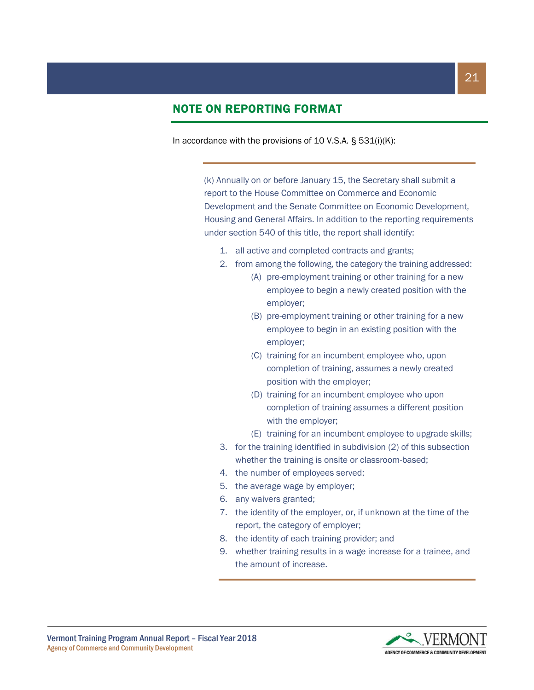# NOTE ON REPORTING FORMAT

In accordance with the provisions of 10 V.S.A. § 531(i)(K):

(k) Annually on or before January 15, the Secretary shall submit a report to the House Committee on Commerce and Economic Development and the Senate Committee on Economic Development, Housing and General Affairs. In addition to the reporting requirements under section 540 of this title, the report shall identify:

- 1. all active and completed contracts and grants;
- 2. from among the following, the category the training addressed:
	- (A) pre-employment training or other training for a new employee to begin a newly created position with the employer;
	- (B) pre-employment training or other training for a new employee to begin in an existing position with the employer;
	- (C) training for an incumbent employee who, upon completion of training, assumes a newly created position with the employer;
	- (D) training for an incumbent employee who upon completion of training assumes a different position with the employer;
	- (E) training for an incumbent employee to upgrade skills;
- 3. for the training identified in subdivision (2) of this subsection whether the training is onsite or classroom-based;
- 4. the number of employees served;
- 5. the average wage by employer;
- 6. any waivers granted;
- 7. the identity of the employer, or, if unknown at the time of the report, the category of employer;
- 8. the identity of each training provider; and
- 9. whether training results in a wage increase for a trainee, and the amount of increase.

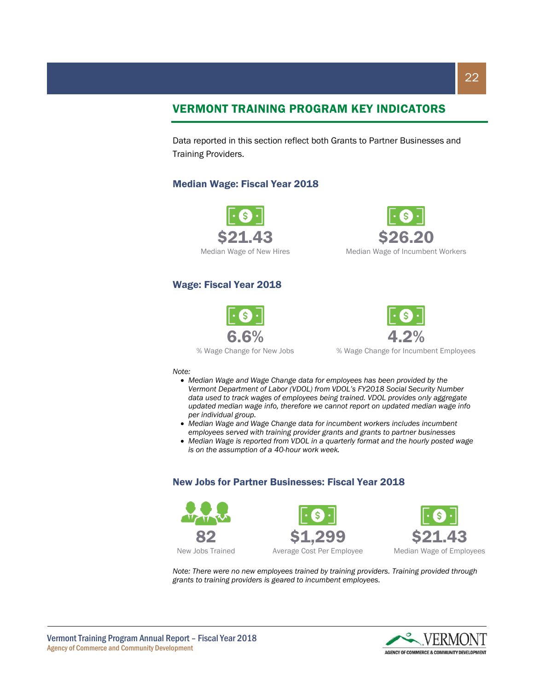# VERMONT TRAINING PROGRAM KEY INDICATORS

Data reported in this section reflect both Grants to Partner Businesses and Training Providers.

#### Median Wage: Fiscal Year 2018



#### Wage: Fiscal Year 2018







% Wage Change for Incumbent Employees

#### *Note:*

- *Median Wage and Wage Change data for employees has been provided by the Vermont Department of Labor (VDOL) from VDOL's FY2018 Social Security Number data used to track wages of employees being trained. VDOL provides only aggregate updated median wage info, therefore we cannot report on updated median wage info per individual group.*
- *Median Wage and Wage Change data for incumbent workers includes incumbent employees served with training provider grants and grants to partner businesses*
- *Median Wage is reported from VDOL in a quarterly format and the hourly posted wage is on the assumption of a 40-hour work week.*

#### New Jobs for Partner Businesses: Fiscal Year 2018







*Note: There were no new employees trained by training providers. Training provided through grants to training providers is geared to incumbent employees.*

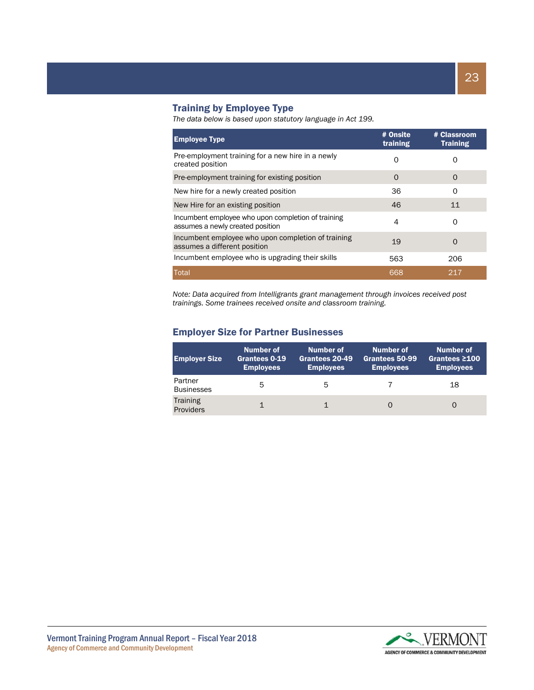#### Training by Employee Type

*The data below is based upon statutory language in Act 199.*

| <b>Employee Type</b>                                                                   | # Onsite<br>training | # Classroom<br><b>Training</b> |
|----------------------------------------------------------------------------------------|----------------------|--------------------------------|
| Pre-employment training for a new hire in a newly<br>created position                  | O                    | 0                              |
| Pre-employment training for existing position                                          | $\Omega$             | O                              |
| New hire for a newly created position                                                  | 36                   | 0                              |
| New Hire for an existing position                                                      | 46                   | 11                             |
| Incumbent employee who upon completion of training<br>assumes a newly created position | 4                    | Ω                              |
| Incumbent employee who upon completion of training<br>assumes a different position     | 19                   | $\Omega$                       |
| Incumbent employee who is upgrading their skills                                       | 563                  | 206                            |
| Total                                                                                  | 668                  | 217                            |

*Note: Data acquired from Intelligrants grant management through invoices received post trainings. Some trainees received onsite and classroom training.*

#### Employer Size for Partner Businesses

| <b>Employer Size</b>         | Number of<br>Grantees 0-19<br><b>Employees</b> | Number of<br>Grantees 20-49<br><b>Employees</b> | Number of<br>Grantees 50-99<br><b>Employees</b> | Number of<br>Grantees $\geq 100$<br><b>Employees</b> |
|------------------------------|------------------------------------------------|-------------------------------------------------|-------------------------------------------------|------------------------------------------------------|
| Partner<br><b>Businesses</b> | 5                                              | 5                                               |                                                 | 18                                                   |
| <b>Training</b><br>Providers |                                                |                                                 |                                                 |                                                      |